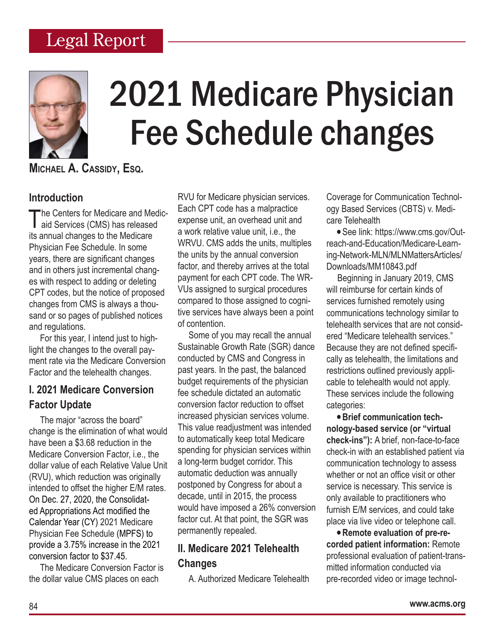# Legal Report



# 2021 Medicare Physician Fee Schedule changes

**Michael A. Cassidy, Esq.**

## **Introduction**

The Centers for Medicare and Medicaries (CMS) has released its annual changes to the Medicare Physician Fee Schedule. In some years, there are significant changes and in others just incremental changes with respect to adding or deleting CPT codes, but the notice of proposed changes from CMS is always a thousand or so pages of published notices and regulations.

For this year, I intend just to highlight the changes to the overall payment rate via the Medicare Conversion Factor and the telehealth changes.

## **I. 2021 Medicare Conversion Factor Update**

The major "across the board" change is the elimination of what would have been a \$3.68 reduction in the Medicare Conversion Factor, i.e., the dollar value of each Relative Value Unit (RVU), which reduction was originally intended to offset the higher E/M rates. On Dec. 27, 2020, the Consolidated Appropriations Act modified the Calendar Year (CY) 2021 Medicare Physician Fee Schedule (MPFS) to provide a 3.75% increase in the 2021 conversion factor to \$37.45.

The Medicare Conversion Factor is the dollar value CMS places on each

RVU for Medicare physician services. Each CPT code has a malpractice expense unit, an overhead unit and a work relative value unit, i.e., the WRVU. CMS adds the units, multiples the units by the annual conversion factor, and thereby arrives at the total payment for each CPT code. The WR-VUs assigned to surgical procedures compared to those assigned to cognitive services have always been a point of contention.

Some of you may recall the annual Sustainable Growth Rate (SGR) dance conducted by CMS and Congress in past years. In the past, the balanced budget requirements of the physician fee schedule dictated an automatic conversion factor reduction to offset increased physician services volume. This value readjustment was intended to automatically keep total Medicare spending for physician services within a long-term budget corridor. This automatic deduction was annually postponed by Congress for about a decade, until in 2015, the process would have imposed a 26% conversion factor cut. At that point, the SGR was permanently repealed.

# **II. Medicare 2021 Telehealth Changes**

A. Authorized Medicare Telehealth

Coverage for Communication Technology Based Services (CBTS) v. Medicare Telehealth

• See link: https://www.cms.gov/Outreach-and-Education/Medicare-Learning-Network-MLN/MLNMattersArticles/ Downloads/MM10843.pdf

Beginning in January 2019, CMS will reimburse for certain kinds of services furnished remotely using communications technology similar to telehealth services that are not considered "Medicare telehealth services." Because they are not defined specifically as telehealth, the limitations and restrictions outlined previously applicable to telehealth would not apply. These services include the following categories:

• **Brief communication technology-based service (or "virtual check-ins"):** A brief, non-face-to-face check-in with an established patient via communication technology to assess whether or not an office visit or other service is necessary. This service is only available to practitioners who furnish E/M services, and could take place via live video or telephone call.

• **Remote evaluation of pre-recorded patient information:** Remote professional evaluation of patient-transmitted information conducted via pre-recorded video or image technol-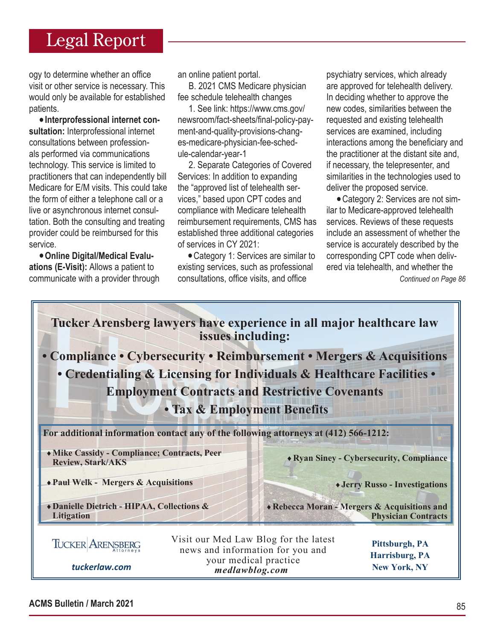# Legal Report

ogy to determine whether an office visit or other service is necessary. This would only be available for established patients.

• **Interprofessional internet consultation:** Interprofessional internet consultations between professionals performed via communications technology. This service is limited to practitioners that can independently bill Medicare for E/M visits. This could take the form of either a telephone call or a live or asynchronous internet consultation. Both the consulting and treating provider could be reimbursed for this service.

• **Online Digital/Medical Evaluations (E-Visit):** Allows a patient to communicate with a provider through an online patient portal.

B. 2021 CMS Medicare physician fee schedule telehealth changes

1. See link: https://www.cms.gov/ newsroom/fact-sheets/final-policy-payment-and-quality-provisions-changes-medicare-physician-fee-schedule-calendar-year-1

2. Separate Categories of Covered Services: In addition to expanding the "approved list of telehealth services," based upon CPT codes and compliance with Medicare telehealth reimbursement requirements, CMS has established three additional categories of services in CY 2021:

• Category 1: Services are similar to existing services, such as professional consultations, office visits, and office

psychiatry services, which already are approved for telehealth delivery. In deciding whether to approve the new codes, similarities between the requested and existing telehealth services are examined, including interactions among the beneficiary and the practitioner at the distant site and, if necessary, the telepresenter, and similarities in the technologies used to deliver the proposed service.

• Category 2: Services are not similar to Medicare-approved telehealth services. Reviews of these requests include an assessment of whether the service is accurately described by the corresponding CPT code when delivered via telehealth, and whether the

*Continued on Page 86*



85 **ACMS Bulletin / March 2021**